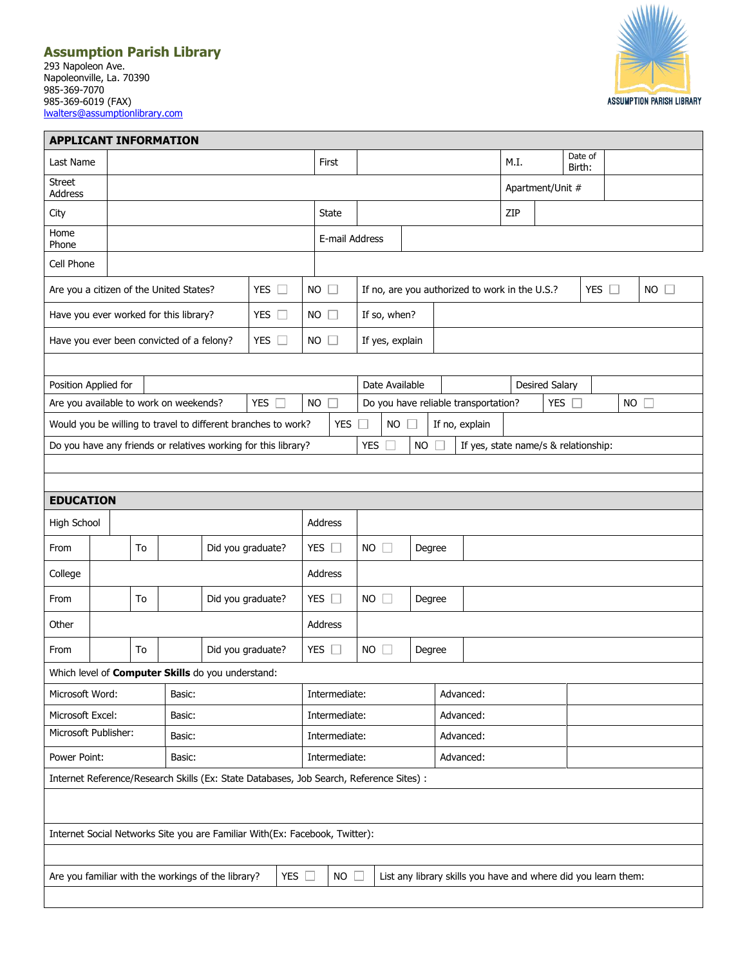## **Assumption Parish Library**

293 Napoleon Ave. Napoleonville, La. 70390 985-369-7070 985-369-6019 (FAX) [lwalters@assumptionlibrary.com](mailto:lwalters@assumptionlibrary.com)



| <b>APPLICANT INFORMATION</b>                                                |  |                |    |        |                                                          |                                                                                         |               |                                                              |                |                                                       |           |                  |                                                                |                                      |  |                   |           |  |  |  |
|-----------------------------------------------------------------------------|--|----------------|----|--------|----------------------------------------------------------|-----------------------------------------------------------------------------------------|---------------|--------------------------------------------------------------|----------------|-------------------------------------------------------|-----------|------------------|----------------------------------------------------------------|--------------------------------------|--|-------------------|-----------|--|--|--|
| Last Name                                                                   |  |                |    |        |                                                          |                                                                                         |               | First                                                        |                |                                                       |           |                  |                                                                | M.I.                                 |  | Date of<br>Birth: |           |  |  |  |
| <b>Street</b><br>Address                                                    |  |                |    |        |                                                          |                                                                                         |               |                                                              |                |                                                       |           | Apartment/Unit # |                                                                |                                      |  |                   |           |  |  |  |
| City                                                                        |  |                |    |        |                                                          |                                                                                         | State         |                                                              |                |                                                       |           |                  | ZIP                                                            |                                      |  |                   |           |  |  |  |
| Home<br>Phone                                                               |  | E-mail Address |    |        |                                                          |                                                                                         |               |                                                              |                |                                                       |           |                  |                                                                |                                      |  |                   |           |  |  |  |
| Cell Phone                                                                  |  |                |    |        |                                                          |                                                                                         |               |                                                              |                |                                                       |           |                  |                                                                |                                      |  |                   |           |  |  |  |
| $NO$ $\Box$<br>Are you a citizen of the United States?<br>YES $\Box$        |  |                |    |        |                                                          |                                                                                         |               | If no, are you authorized to work in the U.S.?<br>YES $\Box$ |                |                                                       |           |                  |                                                                |                                      |  | $NO$ $\Box$       |           |  |  |  |
| YES $\square$<br>Have you ever worked for this library?                     |  |                |    |        |                                                          | $NO$ $\Box$                                                                             |               |                                                              | If so, when?   |                                                       |           |                  |                                                                |                                      |  |                   |           |  |  |  |
| Have you ever been convicted of a felony?                                   |  |                |    |        |                                                          | YES $\Box$                                                                              | $NO$ $\Box$   |                                                              |                | If yes, explain                                       |           |                  |                                                                |                                      |  |                   |           |  |  |  |
|                                                                             |  |                |    |        |                                                          |                                                                                         |               |                                                              |                |                                                       |           |                  |                                                                |                                      |  |                   |           |  |  |  |
| Position Applied for                                                        |  |                |    |        |                                                          |                                                                                         |               |                                                              | Date Available |                                                       |           |                  |                                                                | <b>Desired Salary</b>                |  |                   |           |  |  |  |
| Are you available to work on weekends?                                      |  |                |    |        |                                                          | <b>YES</b>                                                                              | <b>NO</b>     |                                                              |                | YES $\square$<br>Do you have reliable transportation? |           |                  |                                                                |                                      |  |                   | <b>NO</b> |  |  |  |
|                                                                             |  |                |    |        |                                                          | Would you be willing to travel to different branches to work?                           |               | <b>YES</b>                                                   |                | <b>NO</b>                                             |           |                  | If no, explain                                                 |                                      |  |                   |           |  |  |  |
|                                                                             |  |                |    |        |                                                          | Do you have any friends or relatives working for this library?                          |               |                                                              | <b>YES</b>     |                                                       | <b>NO</b> |                  |                                                                | If yes, state name/s & relationship: |  |                   |           |  |  |  |
|                                                                             |  |                |    |        |                                                          |                                                                                         |               |                                                              |                |                                                       |           |                  |                                                                |                                      |  |                   |           |  |  |  |
| <b>EDUCATION</b>                                                            |  |                |    |        |                                                          |                                                                                         |               |                                                              |                |                                                       |           |                  |                                                                |                                      |  |                   |           |  |  |  |
| High School                                                                 |  | Address        |    |        |                                                          |                                                                                         |               |                                                              |                |                                                       |           |                  |                                                                |                                      |  |                   |           |  |  |  |
| From                                                                        |  |                | To |        | Did you graduate?                                        |                                                                                         |               | YES $\square$                                                | <b>NO</b>      | $\Box$                                                |           | Degree           |                                                                |                                      |  |                   |           |  |  |  |
| College                                                                     |  |                |    |        |                                                          | Address                                                                                 |               |                                                              |                |                                                       |           |                  |                                                                |                                      |  |                   |           |  |  |  |
| From                                                                        |  |                | To |        | Did you graduate?                                        |                                                                                         | YES $\square$ |                                                              | $NO$ $\Box$    |                                                       | Degree    |                  |                                                                |                                      |  |                   |           |  |  |  |
| Other                                                                       |  |                |    |        |                                                          |                                                                                         |               | Address                                                      |                |                                                       |           |                  |                                                                |                                      |  |                   |           |  |  |  |
| From                                                                        |  |                | To |        | Did you graduate?                                        |                                                                                         | YES $\square$ |                                                              | <b>NO</b>      | $\Box$                                                | Degree    |                  |                                                                |                                      |  |                   |           |  |  |  |
|                                                                             |  |                |    |        | Which level of <b>Computer Skills</b> do you understand: |                                                                                         |               |                                                              |                |                                                       |           |                  |                                                                |                                      |  |                   |           |  |  |  |
| Microsoft Word:                                                             |  |                |    | Basic: |                                                          |                                                                                         |               | Intermediate:                                                |                |                                                       |           | Advanced:        |                                                                |                                      |  |                   |           |  |  |  |
| Microsoft Excel:<br>Basic:                                                  |  |                |    |        |                                                          | Intermediate:                                                                           |               |                                                              |                |                                                       | Advanced: |                  |                                                                |                                      |  |                   |           |  |  |  |
| Microsoft Publisher:<br>Basic:                                              |  |                |    |        | Intermediate:                                            |                                                                                         | Advanced:     |                                                              |                |                                                       |           |                  |                                                                |                                      |  |                   |           |  |  |  |
| Power Point:<br>Basic:                                                      |  |                |    |        |                                                          | Intermediate:                                                                           |               | Advanced:                                                    |                |                                                       |           |                  |                                                                |                                      |  |                   |           |  |  |  |
|                                                                             |  |                |    |        |                                                          | Internet Reference/Research Skills (Ex: State Databases, Job Search, Reference Sites) : |               |                                                              |                |                                                       |           |                  |                                                                |                                      |  |                   |           |  |  |  |
|                                                                             |  |                |    |        |                                                          |                                                                                         |               |                                                              |                |                                                       |           |                  |                                                                |                                      |  |                   |           |  |  |  |
| Internet Social Networks Site you are Familiar With(Ex: Facebook, Twitter): |  |                |    |        |                                                          |                                                                                         |               |                                                              |                |                                                       |           |                  |                                                                |                                      |  |                   |           |  |  |  |
|                                                                             |  |                |    |        |                                                          |                                                                                         |               |                                                              |                |                                                       |           |                  |                                                                |                                      |  |                   |           |  |  |  |
|                                                                             |  |                |    |        | Are you familiar with the workings of the library?       | YES $\square$                                                                           |               | $NO \Box$                                                    |                |                                                       |           |                  | List any library skills you have and where did you learn them: |                                      |  |                   |           |  |  |  |
|                                                                             |  |                |    |        |                                                          |                                                                                         |               |                                                              |                |                                                       |           |                  |                                                                |                                      |  |                   |           |  |  |  |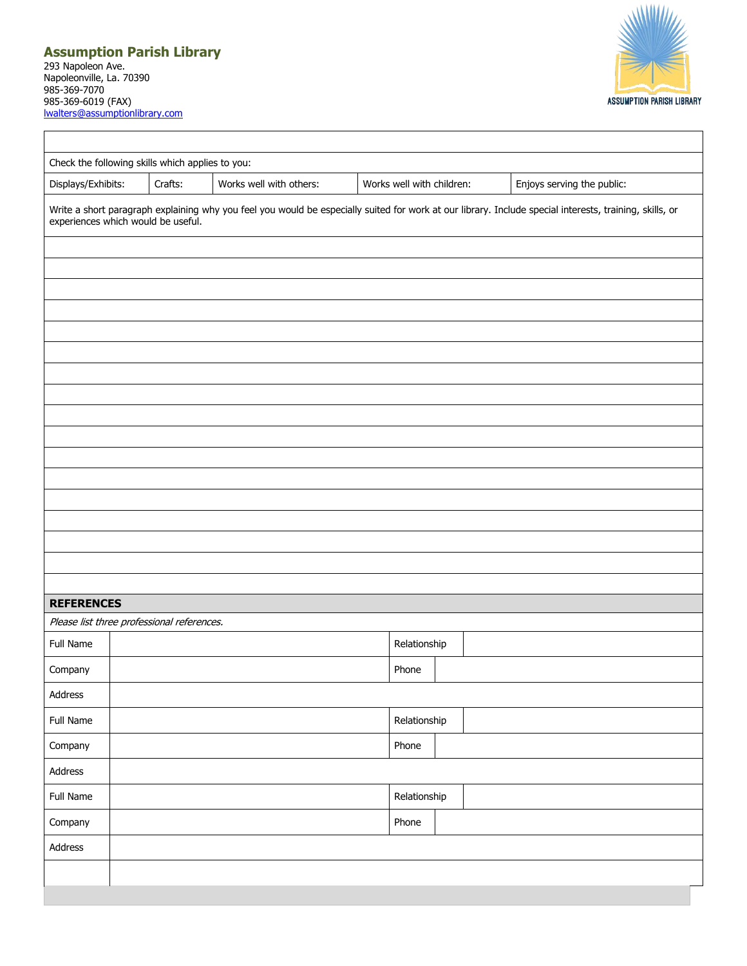## **Assumption Parish Library** 293 Napoleon Ave. Napoleonville, La. 70390 985-369-7070 985-369-6019 (FAX) [lwalters@assumptionlibrary.com](mailto:lwalters@assumptionlibrary.com)



| Displays/Exhibits:                         | Crafts: | Works well with others: | Works well with children: | Enjoys serving the public:                                                                                                                              |  |  |  |
|--------------------------------------------|---------|-------------------------|---------------------------|---------------------------------------------------------------------------------------------------------------------------------------------------------|--|--|--|
| experiences which would be useful.         |         |                         |                           | Write a short paragraph explaining why you feel you would be especially suited for work at our library. Include special interests, training, skills, or |  |  |  |
|                                            |         |                         |                           |                                                                                                                                                         |  |  |  |
|                                            |         |                         |                           |                                                                                                                                                         |  |  |  |
|                                            |         |                         |                           |                                                                                                                                                         |  |  |  |
|                                            |         |                         |                           |                                                                                                                                                         |  |  |  |
|                                            |         |                         |                           |                                                                                                                                                         |  |  |  |
|                                            |         |                         |                           |                                                                                                                                                         |  |  |  |
|                                            |         |                         |                           |                                                                                                                                                         |  |  |  |
|                                            |         |                         |                           |                                                                                                                                                         |  |  |  |
|                                            |         |                         |                           |                                                                                                                                                         |  |  |  |
|                                            |         |                         |                           |                                                                                                                                                         |  |  |  |
|                                            |         |                         |                           |                                                                                                                                                         |  |  |  |
|                                            |         |                         |                           |                                                                                                                                                         |  |  |  |
|                                            |         |                         |                           |                                                                                                                                                         |  |  |  |
|                                            |         |                         |                           |                                                                                                                                                         |  |  |  |
| <b>REFERENCES</b>                          |         |                         |                           |                                                                                                                                                         |  |  |  |
| Please list three professional references. |         |                         |                           |                                                                                                                                                         |  |  |  |
| Full Name                                  |         |                         | Relationship              |                                                                                                                                                         |  |  |  |
| Company                                    |         |                         | Phone                     |                                                                                                                                                         |  |  |  |
| Address                                    |         |                         |                           |                                                                                                                                                         |  |  |  |
| Full Name                                  |         |                         | Relationship              |                                                                                                                                                         |  |  |  |
| Company                                    |         |                         | Phone                     |                                                                                                                                                         |  |  |  |
| Address                                    |         |                         |                           |                                                                                                                                                         |  |  |  |
|                                            |         |                         | Relationship              |                                                                                                                                                         |  |  |  |
|                                            |         |                         |                           |                                                                                                                                                         |  |  |  |
| Full Name                                  |         |                         |                           |                                                                                                                                                         |  |  |  |
| Company<br>Address                         |         |                         | Phone                     |                                                                                                                                                         |  |  |  |